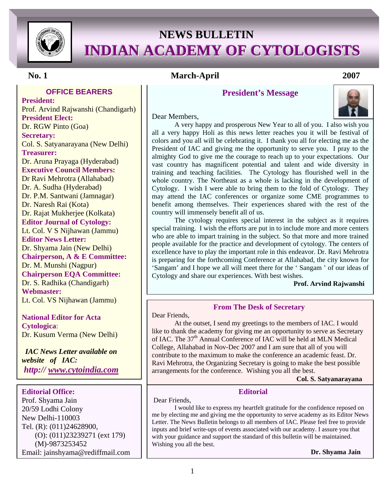

# **NEWS BULLETIN INDIAN ACADEMY OF CYTOLOGISTS**

### **OFFICE BEARERS**

 Dr. S. Radhika (Chandigarh) **President:** Prof. Arvind Rajwanshi (Chandigarh) **President Elect:**  Dr. RGW Pinto (Goa) **Secretary:**  Col. S. Satyanarayana (New Delhi) **Treasurer:**  Dr. Aruna Prayaga (Hyderabad) **Executive Council Members:**  Dr Ravi Mehrotra (Allahabad) Dr. A. Sudha (Hyderabad) Dr. P.M. Santwani (Jamnagar) Dr. Naresh Rai (Kota) Dr. Rajat Mukherjee (Kolkata) **Editor Journal of Cytology:**  Lt. Col. V S Nijhawan (Jammu) **Editor News Letter:**  Dr. Shyama Jain (New Delhi) **Chairperson, A & E Committee:**  Dr. M. Munshi (Nagpur) **Chairperson EQA Committee: Webmaster:**  Lt. Col. VS Nijhawan (Jammu)

**National Editor for Acta Cytologica**: Dr. Kusum Verma (New Delhi)

 *IAC News Letter available on website of IAC: http:// www.cytoindia.com*

#### **Editorial Office:**

Prof. Shyama Jain 20/59 Lodhi Colony New Delhi-110003 Tel. (R): (011)24628900, (O): (011)23239271 (ext 179) (M)-9873253452 Email: jainshyama@rediffmail.com

### **No. 1 March-April 2007**

### **President's Message**

#### Dear Members,



A very happy and prosperous New Year to all of you. I also wish you all a very happy Holi as this news letter reaches you it will be festival of colors and you all will be celebrating it. I thank you all for electing me as the President of IAC and giving me the opportunity to serve you. I pray to the almighty God to give me the courage to reach up to your expectations. Our vast country has magnificent potential and talent and wide diversity in training and teaching facilities. The Cytology has flourished well in the whole country. The Northeast as a whole is lacking in the development of Cytology. I wish I were able to bring them to the fold of Cytology. They may attend the IAC conferences or organize some CME programmes to benefit among themselves. Their experiences shared with the rest of the country will immensely benefit all of us.

The cytology requires special interest in the subject as it requires special training. I wish the efforts are put in to include more and more centers who are able to impart training in the subject. So that more and more trained people available for the practice and development of cytology. The centers of excellence have to play the important role in this endeavor. Dr. Ravi Mehrotra is preparing for the forthcoming Conference at Allahabad, the city known for 'Sangam' and I hope we all will meet there for the ' Sangam ' of our ideas of Cytology and share our experiences. With best wishes.

#### **Prof. Arvind Rajwanshi**

#### **From The Desk of Secretary**

Dear Friends,

At the outset, I send my greetings to the members of IAC. I would like to thank the academy for giving me an opportunity to serve as Secretary of IAC. The 37<sup>th</sup> Annual Conference of IAC will be held at MLN Medical College, Allahabad in Nov-Dec 2007 and I am sure that all of you will contribute to the maximum to make the conference an academic feast. Dr. Ravi Mehrotra, the Organizing Secretary is going to make the best possible arrangements for the conference. Wishing you all the best.

 **Col. S. Satyanarayana**

#### **Editorial**

Dear Friends,

I would like to express my heartfelt gratitude for the confidence reposed on me by electing me and giving me the opportunity to serve academy as its Editor News Letter. The News Bulletin belongs to all members of IAC. Please feel free to provide inputs and brief write-ups of events associated with our academy. I assure you that with your guidance and support the standard of this bulletin will be maintained. Wishing you all the best.

**Dr. Shyama Jain**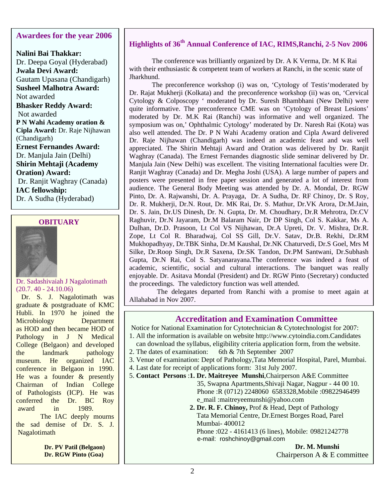### **Awardees for the year 2006**

**Nalini Bai Thakkar:** Dr. Deepa Goyal (Hyderabad) **Jwala Devi Award:** Gautam Upasana (Chandigarh) **Susheel Malhotra Award:** Not awarded **Bhasker Reddy Award:**  Not awarded **P N Wahi Academy oration & Cipla Award:** Dr. Raje Nijhawan (Chandigarh) **Ernest Fernandes Award:** Dr. Manjula Jain (Delhi) **Shirin Mehtaji (Academy Oration) Award:**  Dr. Ranjit Waghray (Canada) **IAC fellowship:** Dr. A Sudha (Hyderabad)

### **OBITUARY**



#### Dr. Sadashivaiah J Nagalotimath (20.7. 40 - 24.10.06)

 Dr. S. J. Nagalotimath was graduate & postgraduate of KMC Hubli. In 1970 he joined the Microbiology Department as HOD and then became HOD of Pathology in J N Medical College (Belgaon) and developed<br>the landmark pathology the landmark pathology museum. He organized IAC conference in Belgaon in 1990. He was a founder & presently Chairman of Indian College of Pathologists (ICP). He was conferred the Dr. BC Roy award in 1989.

 The IAC deeply mourns the sad demise of Dr. S. J. Nagalotimath

> **Dr. PV Patil (Belgaon) Dr. RGW Pinto (Goa)**

## **Highlights of 36th Annual Conference of IAC, RIMS,Ranchi, 2-5 Nov 2006**

 The conference was brilliantly organized by Dr. A K Verma, Dr. M K Rai with their enthusiastic & competent team of workers at Ranchi, in the scenic state of Jharkhund.

 The preconference workshop (i) was on, 'Cytology of Testis'moderated by Dr. Rajat Mukherji (Kolkata) and the preconference workshop (ii) was on, 'Cervical Cytology & Colposcopy ' moderated by Dr. Suresh Bhambhani (New Delhi) were quite informative. The preconference CME was on 'Cytology of Breast Lesions' moderated by Dr. M.K Rai (Ranchi) was informative and well organized. The symposium was on,' Ophthalmic Cytology' moderated by Dr. Naresh Rai (Kota) was also well attended. The Dr. P N Wahi Academy oration and Cipla Award delivered Dr. Raje Nijhawan (Chandigarh) was indeed an academic feast and was well appreciated. The Shirin Mehtaji Award and Oration was delivered by Dr. Ranjit Waghray (Canada). The Ernest Fernandes diagnostic slide seminar delivered by Dr. Manjula Jain (New Delhi) was excellent. The visiting International faculties were Dr. Ranjit Waghray (Canada) and Dr. Megha Joshi (USA). A large number of papers and posters were presented in free paper session and generated a lot of interest from audience. The General Body Meeting was attended by Dr. A. Mondal, Dr. RGW Pinto, Dr. A. Rajwanshi, Dr. A. Prayaga, Dr. A Sudha, Dr. RF Chinoy, Dr. S Roy, Dr. R. Mukherji, Dr.N. Rout, Dr. MK Rai, Dr. S. Mathur, Dr.VK Arora, Dr.M.Jain, Dr. S. Jain, Dr.US Dinesh, Dr. N. Gupta, Dr. M. Choudhary, Dr.R Mehrotra, Dr.CV Raghuvir, Dr.N Jayaram, Dr.M Balaram Nair, Dr DP Singh, Col S. Kakkar, Ms A. Dulhan, Dr.D. Prasoon, Lt Col VS Nijhawan, Dr.A Upreti, Dr. V. Mishra, Dr.R. Zope, Lt Col R. Bharadwaj, Col SS Gill, Dr.V. Satav, Dr.B. Rekhi, Dr.RM Mukhopadhyay, Dr.TBK Sinha, Dr.M Kaushal, Dr.NK Chaturvedi, Dr.S Goel, Mrs M Silke, Dr.Roop Singh, Dr.R Saxena, Dr.SK Tandon, Dr.PM Santwani, Dr.Subhash Gupta, Dr.N Rai, Col S. Satyanarayana.The conference was indeed a feast of academic, scientific, social and cultural interactions. The banquet was really enjoyable. Dr. Asitava Mondal (President) and Dr. RGW Pinto (Secretary) conducted the proceedings. The valedictory function was well attended.

 The delegates departed from Ranchi with a promise to meet again at Allahabad in Nov 2007.

### **Accreditation and Examination Committee**

Notice for National Examination for Cytotechnician & Cytotechnologist for 2007:

- 1. All the information is available on website http://www.cytoindia.com.Candidates can download the syllabus, eligibility criteria application form, from the website.
- 2. The dates of examination: 6th & 7th September 2007
- 3. Venue of examination: Dept of Pathology,Tata Memorial Hospital, Parel, Mumbai.
	- 4. Last date for receipt of applications form: 31st July 2007.
	- 5. **Contact Persons** :**1. Dr. Maitreyee Munshi**,Chairperson A&E Committee 35, Swapna Apartments,Shivaji Nagar, Nagpur - 44 00 10. Phone :R (0712) 2248060 6583328,Mobile :09822946499 e\_mail :maitreyeemunshi@yahoo.com

### **2. Dr. R. F. Chinoy,** Prof & Head, Dept of Pathology Tata Memorial Centre, Dr.Ernest Borges Road, Parel Mumbai- 400012

 Phone :022 - 4161413 (6 lines), Mobile: 09821242778 e-mail: roshchinoy@gmail.com

 **Dr. M. Munshi**  Chairperson A & E committee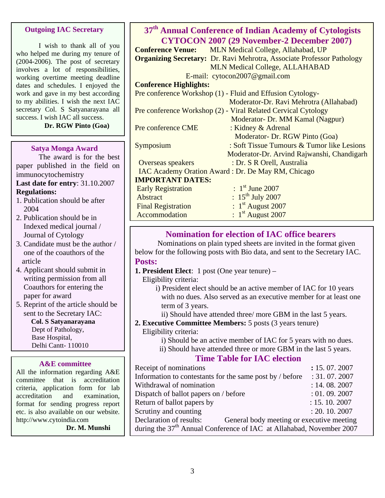### **Outgoing IAC Secretary**

I wish to thank all of you who helped me during my tenure of (2004-2006). The post of secretary involves a lot of responsibilities, working overtime meeting deadline dates and schedules. I enjoyed the work and gave in my best according to my abilities. I wish the next IAC secretary Col. S Satyanarayana all success. I wish IAC all success.

**Dr. RGW Pinto (Goa)**

#### **Satya Monga Award**

The award is for the best paper published in the field on immunocytochemistry

#### **Last date for entry**: 31.10.2007 **Regulations:**

- 1. Publication should be after 2004
- 2. Publication should be in Indexed medical journal / Journal of Cytology
- 3. Candidate must be the author / one of the coauthors of the article
- 4. Applicant should submit in writing permission from all Coauthors for entering the paper for award
- 5. Reprint of the article should be sent to the Secretary IAC:

 **Col. S Satyanarayana**  Dept of Pathology, Base Hospital, Delhi Cantt- 110010

### **A&E committee**

All the information regarding A&E committee that is accreditation criteria, application form for lab accreditation and examination, format for sending progress report etc. is also available on our website. http://www.cytoindia.com

 **Dr. M. Munshi** 

### **37th Annual Conference of Indian Academy of Cytologists CYTOCON 2007 (29 November-2 December 2007)**

**Conference Venue:** MLN Medical College, Allahabad, UP **Organizing Secretary:** Dr. Ravi Mehrotra, Associate Professor Pathology MLN Medical College, ALLAHABAD E-mail: cytocon2007@gmail.com

### **Conference Highlights:**

Pre conference Workshop (1) - Fluid and Effusion Cytology- Moderator-Dr. Ravi Mehrotra (Allahabad) Pre conference Workshop (2) - Viral Related Cervical Cytology Moderator- Dr. MM Kamal (Nagpur) Pre conference CME : Kidney & Adrenal Moderator- Dr. RGW Pinto (Goa) Symposium : Soft Tissue Tumours & Tumor like Lesions Moderator-Dr. Arvind Rajwanshi, Chandigarh Overseas speakers : Dr. S R Orell, Australia IAC Academy Oration Award : Dr. De May RM, Chicago **IMPORTANT DATES:**  Early Registration :  $1<sup>st</sup>$  June 2007  $\lambda$ bstract :  $15^{\text{th}}$  July 2007 Final Registration : 1<sup>st</sup> August 2007<br>Accommodation : 1<sup>st</sup> August 2007 Accommodation

### **Nomination for election of IAC office bearers**

Nominations on plain typed sheets are invited in the format given below for the following posts with Bio data, and sent to the Secretary IAC. **Posts:** 

**1. President Elect**: 1 post (One year tenure) –

Eligibility criteria:

 i) President elect should be an active member of IAC for 10 years with no dues. Also served as an executive member for at least one term of 3 years.

- ii) Should have attended three/ more GBM in the last 5 years.
- **2. Executive Committee Members:** 5 posts (3 years tenure) Eligibility criteria:

i) Should be an active member of IAC for 5 years with no dues.

ii) Should have attended three or more GBM in the last 5 years.

### **Time Table for IAC election**

| Receipt of nominations                                                           | : 15.07.2007 |  |
|----------------------------------------------------------------------------------|--------------|--|
| Information to contestants for the same post by / before                         | : 31.07.2007 |  |
| Withdrawal of nomination                                                         | : 14.08.2007 |  |
| Dispatch of ballot papers on / before                                            | : 01.09.2007 |  |
| Return of ballot papers by                                                       | : 15.10.2007 |  |
| Scrutiny and counting                                                            | : 20.10.2007 |  |
| Declaration of results:<br>General body meeting or executive meeting             |              |  |
| during the 37 <sup>th</sup> Annual Conference of IAC at Allahabad, November 2007 |              |  |
|                                                                                  |              |  |